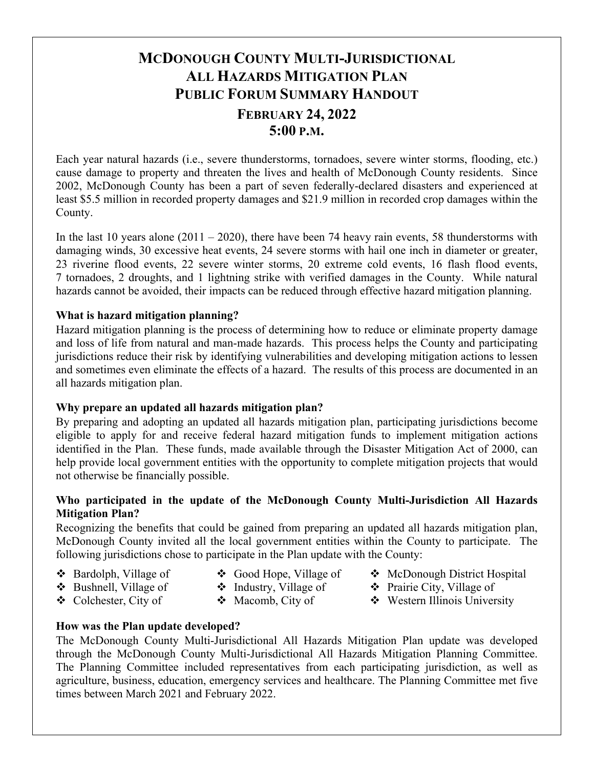## **MCDONOUGH COUNTY MULTI-JURISDICTIONAL ALL HAZARDS MITIGATION PLAN PUBLIC FORUM SUMMARY HANDOUT FEBRUARY 24, 2022 5:00 P.M.**

Each year natural hazards (i.e., severe thunderstorms, tornadoes, severe winter storms, flooding, etc.) cause damage to property and threaten the lives and health of McDonough County residents. Since 2002, McDonough County has been a part of seven federally-declared disasters and experienced at least \$5.5 million in recorded property damages and \$21.9 million in recorded crop damages within the County.

In the last 10 years alone  $(2011 - 2020)$ , there have been 74 heavy rain events, 58 thunderstorms with damaging winds, 30 excessive heat events, 24 severe storms with hail one inch in diameter or greater, 23 riverine flood events, 22 severe winter storms, 20 extreme cold events, 16 flash flood events, 7 tornadoes, 2 droughts, and 1 lightning strike with verified damages in the County. While natural hazards cannot be avoided, their impacts can be reduced through effective hazard mitigation planning.

#### **What is hazard mitigation planning?**

Hazard mitigation planning is the process of determining how to reduce or eliminate property damage and loss of life from natural and man-made hazards. This process helps the County and participating jurisdictions reduce their risk by identifying vulnerabilities and developing mitigation actions to lessen and sometimes even eliminate the effects of a hazard. The results of this process are documented in an all hazards mitigation plan.

#### **Why prepare an updated all hazards mitigation plan?**

By preparing and adopting an updated all hazards mitigation plan, participating jurisdictions become eligible to apply for and receive federal hazard mitigation funds to implement mitigation actions identified in the Plan. These funds, made available through the Disaster Mitigation Act of 2000, can help provide local government entities with the opportunity to complete mitigation projects that would not otherwise be financially possible.

#### **Who participated in the update of the McDonough County Multi-Jurisdiction All Hazards Mitigation Plan?**

Recognizing the benefits that could be gained from preparing an updated all hazards mitigation plan, McDonough County invited all the local government entities within the County to participate. The following jurisdictions chose to participate in the Plan update with the County:

- Bardolph, Village of
- Good Hope, Village of
- McDonough District Hospital
- Prairie City, Village of
- ❖ Bushnell, Village of Colchester, City of
- Industry, Village of Macomb, City of
- Western Illinois University

**How was the Plan update developed?** 

The McDonough County Multi-Jurisdictional All Hazards Mitigation Plan update was developed through the McDonough County Multi-Jurisdictional All Hazards Mitigation Planning Committee. The Planning Committee included representatives from each participating jurisdiction, as well as agriculture, business, education, emergency services and healthcare. The Planning Committee met five times between March 2021 and February 2022.